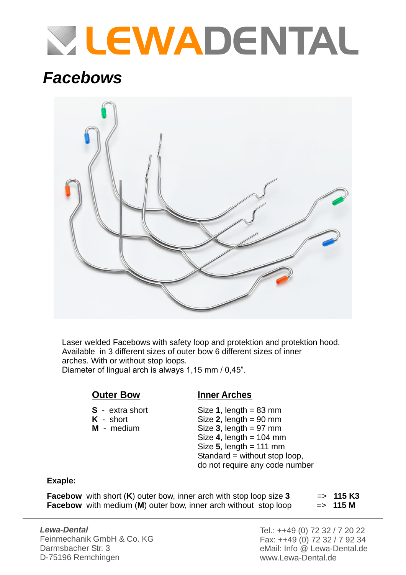# **VLEWADENTAL**

### *Facebows*



Laser welded Facebows with safety loop and protektion and protektion hood. Available in 3 different sizes of outer bow 6 different sizes of inner arches. With or without stop loops. Diameter of lingual arch is always 1,15 mm / 0,45".

### **Outer Bow**

- **S** extra short
- **K** short
- **M** medium

#### **Inner Arches**

Size **1**, length = 83 mm  $Size 2$ , length  $= 90$  mm  $Size 3$ , length  $= 97$  mm Size **4**, length = 104 mm Size , length = 111 mm **5** Standard = without stop loop, do not require any code number

#### **Exaple:**

**Facebow** with short  $(K)$  outer bow, inner arch with stop loop size 3  $\Rightarrow$  115 K3 **Facebow** with medium (M) outer bow, inner arch without stop loop => 115 M

*Lewa-Dental* Feinmechanik GmbH & Co. KG Darmsbacher Str. 3 D-75196 Remchingen

Tel.: ++49 (0) 72 32 / 7 20 22 Fax: ++49 (0) 72 32 / 7 92 34 eMail: Info @ Lewa-Dental.de www.Lewa-Dental.de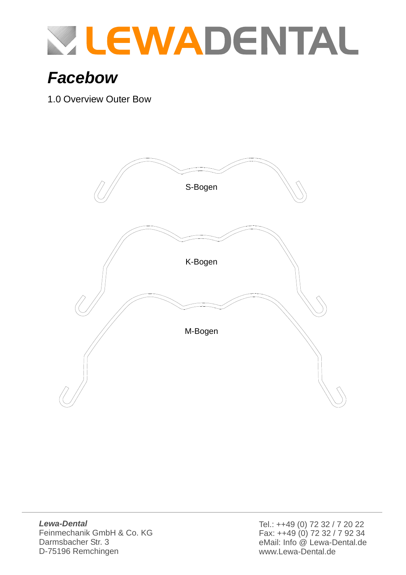

# *Facebow*

1.0 Overview Outer Bow

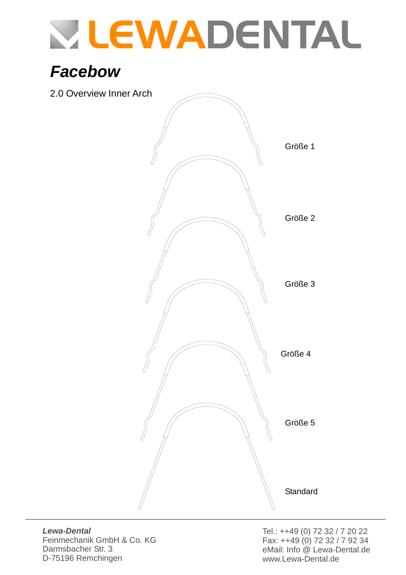# **WILEWADENTAL**

# *Facebow*

2.0 Overview Inner Arch



*Lewa-Dental*

Feinmechanik GmbH & Co. KG Darmsbacher Str. 3 D-75196 Remchingen

Tel.: ++49 (0) 72 32 / 7 20 22 Fax: ++49 (0) 72 32 / 7 92 34 eMail: Info @ Lewa-Dental.de www.Lewa-Dental.de